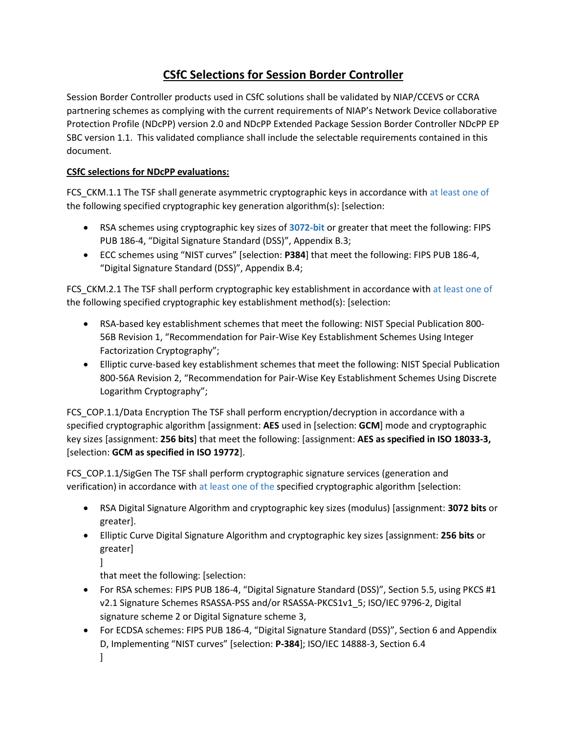## **CSfC Selections for Session Border Controller**

Session Border Controller products used in CSfC solutions shall be validated by NIAP/CCEVS or CCRA partnering schemes as complying with the current requirements of NIAP's Network Device collaborative Protection Profile (NDcPP) version 2.0 and NDcPP Extended Package Session Border Controller NDcPP EP SBC version 1.1. This validated compliance shall include the selectable requirements contained in this document.

## **CSfC selections for NDcPP evaluations:**

FCS CKM.1.1 The TSF shall generate asymmetric cryptographic keys in accordance with at least one of the following specified cryptographic key generation algorithm(s): [selection:

- RSA schemes using cryptographic key sizes of **3072-bit** or greater that meet the following: FIPS PUB 186-4, "Digital Signature Standard (DSS)", Appendix B.3;
- ECC schemes using "NIST curves" [selection: **P384**] that meet the following: FIPS PUB 186-4, "Digital Signature Standard (DSS)", Appendix B.4;

FCS\_CKM.2.1 The TSF shall perform cryptographic key establishment in accordance with at least one of the following specified cryptographic key establishment method(s): [selection:

- RSA-based key establishment schemes that meet the following: NIST Special Publication 800- 56B Revision 1, "Recommendation for Pair-Wise Key Establishment Schemes Using Integer Factorization Cryptography";
- Elliptic curve-based key establishment schemes that meet the following: NIST Special Publication 800-56A Revision 2, "Recommendation for Pair-Wise Key Establishment Schemes Using Discrete Logarithm Cryptography";

FCS\_COP.1.1/Data Encryption The TSF shall perform encryption/decryption in accordance with a specified cryptographic algorithm [assignment: **AES** used in [selection: **GCM**] mode and cryptographic key sizes [assignment: **256 bits**] that meet the following: [assignment: **AES as specified in ISO 18033-3,** [selection: **GCM as specified in ISO 19772**].

FCS\_COP.1.1/SigGen The TSF shall perform cryptographic signature services (generation and verification) in accordance with at least one of the specified cryptographic algorithm [selection:

- RSA Digital Signature Algorithm and cryptographic key sizes (modulus) [assignment: **3072 bits** or greater].
- Elliptic Curve Digital Signature Algorithm and cryptographic key sizes [assignment: **256 bits** or greater]

 $\mathbf{1}$ 

that meet the following: [selection:

- For RSA schemes: FIPS PUB 186-4, "Digital Signature Standard (DSS)", Section 5.5, using PKCS #1 v2.1 Signature Schemes RSASSA-PSS and/or RSASSA-PKCS1v1\_5; ISO/IEC 9796-2, Digital signature scheme 2 or Digital Signature scheme 3,
- For ECDSA schemes: FIPS PUB 186-4, "Digital Signature Standard (DSS)", Section 6 and Appendix D, Implementing "NIST curves" [selection: **P-384**]; ISO/IEC 14888-3, Section 6.4
	- $\mathbf{I}$